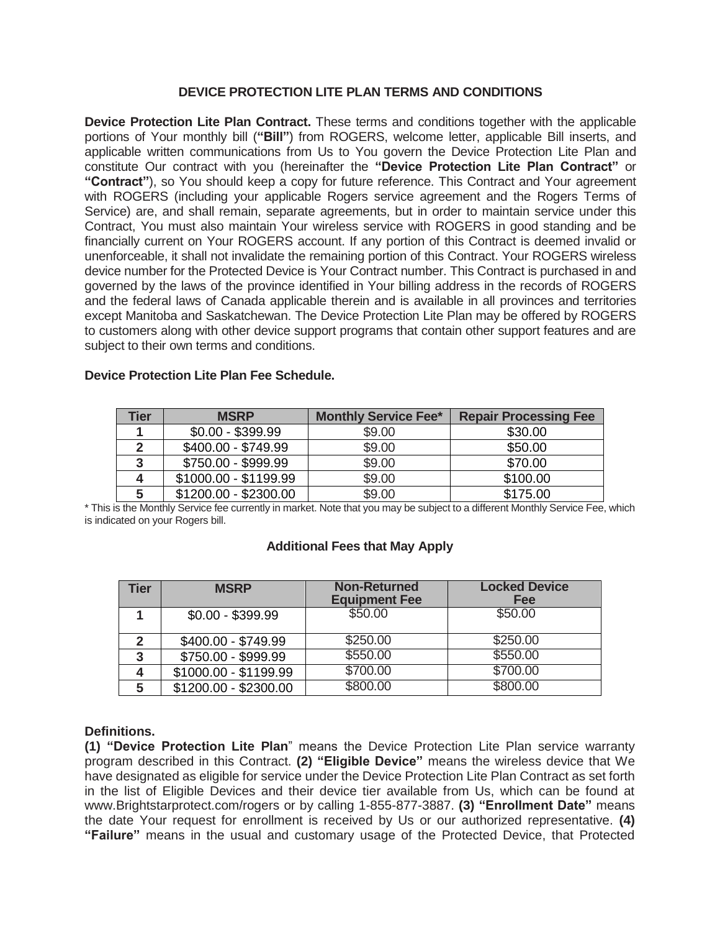# **DEVICE PROTECTION LITE PLAN TERMS AND CONDITIONS**

**Device Protection Lite Plan Contract.** These terms and conditions together with the applicable portions of Your monthly bill (**"Bill"**) from ROGERS, welcome letter, applicable Bill inserts, and applicable written communications from Us to You govern the Device Protection Lite Plan and constitute Our contract with you (hereinafter the **"Device Protection Lite Plan Contract"** or **"Contract"**), so You should keep a copy for future reference. This Contract and Your agreement with ROGERS (including your applicable Rogers service agreement and the Rogers Terms of Service) are, and shall remain, separate agreements, but in order to maintain service under this Contract, You must also maintain Your wireless service with ROGERS in good standing and be financially current on Your ROGERS account. If any portion of this Contract is deemed invalid or unenforceable, it shall not invalidate the remaining portion of this Contract. Your ROGERS wireless device number for the Protected Device is Your Contract number. This Contract is purchased in and governed by the laws of the province identified in Your billing address in the records of ROGERS and the federal laws of Canada applicable therein and is available in all provinces and territories except Manitoba and Saskatchewan. The Device Protection Lite Plan may be offered by ROGERS to customers along with other device support programs that contain other support features and are subject to their own terms and conditions.

| <b>Tier</b> | <b>MSRP</b>           | <b>Monthly Service Fee*</b> | <b>Repair Processing Fee</b> |
|-------------|-----------------------|-----------------------------|------------------------------|
|             | $$0.00 - $399.99$     | \$9.00                      | \$30.00                      |
|             | \$400.00 - \$749.99   | \$9.00                      | \$50.00                      |
| 3           | \$750.00 - \$999.99   | \$9.00                      | \$70.00                      |
|             | \$1000.00 - \$1199.99 | \$9.00                      | \$100.00                     |
| 5           | \$1200.00 - \$2300.00 | \$9.00                      | \$175.00                     |

#### **Device Protection Lite Plan Fee Schedule.**

\* This is the Monthly Service fee currently in market. Note that you may be subject to a different Monthly Service Fee, which is indicated on your Rogers bill.

### **Additional Fees that May Apply**

| <b>Tier</b> | <b>MSRP</b>           | <b>Non-Returned</b><br><b>Equipment Fee</b> | <b>Locked Device</b><br>Fee |
|-------------|-----------------------|---------------------------------------------|-----------------------------|
|             | $$0.00 - $399.99$     | \$50.00                                     | \$50.00                     |
|             | \$400.00 - \$749.99   | \$250.00                                    | \$250.00                    |
| 3           | \$750.00 - \$999.99   | \$550.00                                    | \$550.00                    |
|             | \$1000.00 - \$1199.99 | \$700.00                                    | \$700.00                    |
| 5           | \$1200.00 - \$2300.00 | \$800.00                                    | \$800.00                    |

### **Definitions.**

**(1) "Device Protection Lite Plan**" means the Device Protection Lite Plan service warranty program described in this Contract. **(2) "Eligible Device"** means the wireless device that We have designated as eligible for service under the Device Protection Lite Plan Contract as set forth in the list of Eligible Devices and their device tier available from Us, which can be found at www.Brightstarprotect.com/rogers or by calling 1-855-877-3887. **(3) "Enrollment Date"** means the date Your request for enrollment is received by Us or our authorized representative. **(4) "Failure"** means in the usual and customary usage of the Protected Device, that Protected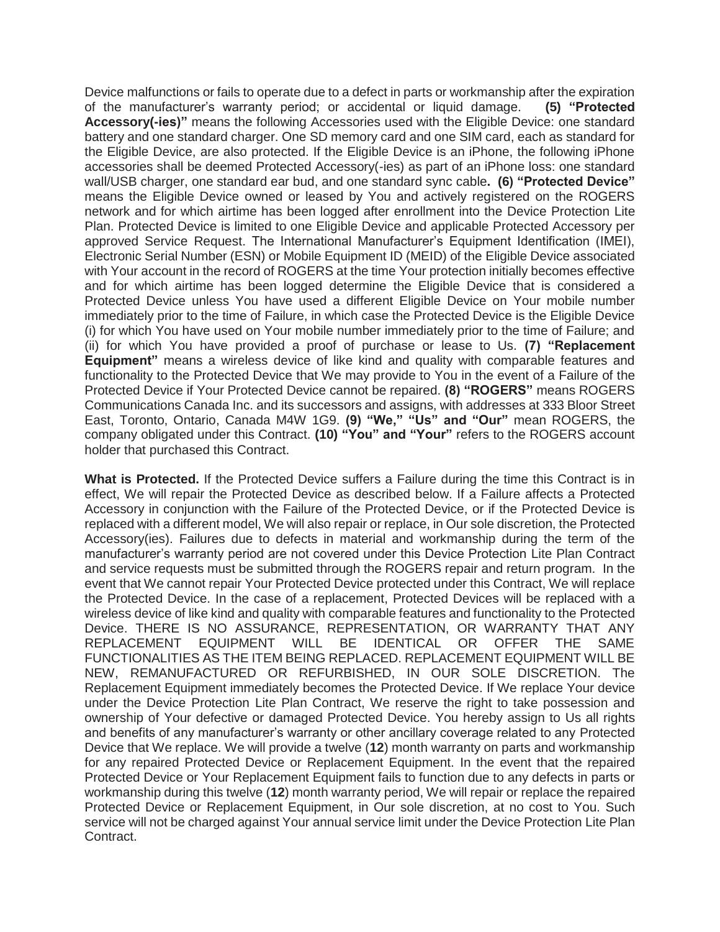Device malfunctions or fails to operate due to a defect in parts or workmanship after the expiration of the manufacturer's warranty period; or accidental or liquid damage. **(5) "Protected Accessory(-ies)"** means the following Accessories used with the Eligible Device: one standard battery and one standard charger. One SD memory card and one SIM card, each as standard for the Eligible Device, are also protected. If the Eligible Device is an iPhone, the following iPhone accessories shall be deemed Protected Accessory(-ies) as part of an iPhone loss: one standard wall/USB charger, one standard ear bud, and one standard sync cable**. (6) "Protected Device"** means the Eligible Device owned or leased by You and actively registered on the ROGERS network and for which airtime has been logged after enrollment into the Device Protection Lite Plan. Protected Device is limited to one Eligible Device and applicable Protected Accessory per approved Service Request. The International Manufacturer's Equipment Identification (IMEI), Electronic Serial Number (ESN) or Mobile Equipment ID (MEID) of the Eligible Device associated with Your account in the record of ROGERS at the time Your protection initially becomes effective and for which airtime has been logged determine the Eligible Device that is considered a Protected Device unless You have used a different Eligible Device on Your mobile number immediately prior to the time of Failure, in which case the Protected Device is the Eligible Device (i) for which You have used on Your mobile number immediately prior to the time of Failure; and (ii) for which You have provided a proof of purchase or lease to Us. **(7) "Replacement Equipment"** means a wireless device of like kind and quality with comparable features and functionality to the Protected Device that We may provide to You in the event of a Failure of the Protected Device if Your Protected Device cannot be repaired. **(8) "ROGERS"** means ROGERS Communications Canada Inc. and its successors and assigns, with addresses at 333 Bloor Street East, Toronto, Ontario, Canada M4W 1G9. **(9) "We," "Us" and "Our"** mean ROGERS, the company obligated under this Contract. **(10) "You" and "Your"** refers to the ROGERS account holder that purchased this Contract.

**What is Protected.** If the Protected Device suffers a Failure during the time this Contract is in effect, We will repair the Protected Device as described below. If a Failure affects a Protected Accessory in conjunction with the Failure of the Protected Device, or if the Protected Device is replaced with a different model, We will also repair or replace, in Our sole discretion, the Protected Accessory(ies). Failures due to defects in material and workmanship during the term of the manufacturer's warranty period are not covered under this Device Protection Lite Plan Contract and service requests must be submitted through the ROGERS repair and return program. In the event that We cannot repair Your Protected Device protected under this Contract, We will replace the Protected Device. In the case of a replacement, Protected Devices will be replaced with a wireless device of like kind and quality with comparable features and functionality to the Protected Device. THERE IS NO ASSURANCE, REPRESENTATION, OR WARRANTY THAT ANY REPLACEMENT EQUIPMENT WILL BE IDENTICAL OR OFFER THE SAME FUNCTIONALITIES AS THE ITEM BEING REPLACED. REPLACEMENT EQUIPMENT WILL BE NEW, REMANUFACTURED OR REFURBISHED, IN OUR SOLE DISCRETION. The Replacement Equipment immediately becomes the Protected Device. If We replace Your device under the Device Protection Lite Plan Contract, We reserve the right to take possession and ownership of Your defective or damaged Protected Device. You hereby assign to Us all rights and benefits of any manufacturer's warranty or other ancillary coverage related to any Protected Device that We replace. We will provide a twelve (**12**) month warranty on parts and workmanship for any repaired Protected Device or Replacement Equipment. In the event that the repaired Protected Device or Your Replacement Equipment fails to function due to any defects in parts or workmanship during this twelve (**12**) month warranty period, We will repair or replace the repaired Protected Device or Replacement Equipment, in Our sole discretion, at no cost to You. Such service will not be charged against Your annual service limit under the Device Protection Lite Plan Contract.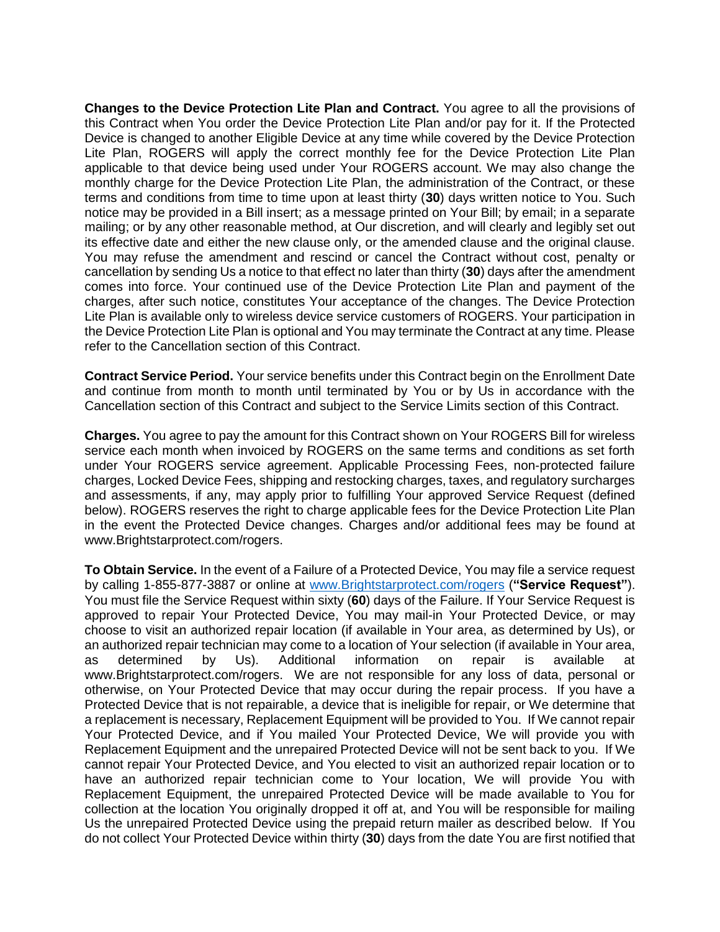**Changes to the Device Protection Lite Plan and Contract.** You agree to all the provisions of this Contract when You order the Device Protection Lite Plan and/or pay for it. If the Protected Device is changed to another Eligible Device at any time while covered by the Device Protection Lite Plan, ROGERS will apply the correct monthly fee for the Device Protection Lite Plan applicable to that device being used under Your ROGERS account. We may also change the monthly charge for the Device Protection Lite Plan, the administration of the Contract, or these terms and conditions from time to time upon at least thirty (**30**) days written notice to You. Such notice may be provided in a Bill insert; as a message printed on Your Bill; by email; in a separate mailing; or by any other reasonable method, at Our discretion, and will clearly and legibly set out its effective date and either the new clause only, or the amended clause and the original clause. You may refuse the amendment and rescind or cancel the Contract without cost, penalty or cancellation by sending Us a notice to that effect no later than thirty (**30**) days after the amendment comes into force. Your continued use of the Device Protection Lite Plan and payment of the charges, after such notice, constitutes Your acceptance of the changes. The Device Protection Lite Plan is available only to wireless device service customers of ROGERS. Your participation in the Device Protection Lite Plan is optional and You may terminate the Contract at any time. Please refer to the Cancellation section of this Contract.

**Contract Service Period.** Your service benefits under this Contract begin on the Enrollment Date and continue from month to month until terminated by You or by Us in accordance with the Cancellation section of this Contract and subject to the Service Limits section of this Contract.

**Charges.** You agree to pay the amount for this Contract shown on Your ROGERS Bill for wireless service each month when invoiced by ROGERS on the same terms and conditions as set forth under Your ROGERS service agreement. Applicable Processing Fees, non-protected failure charges, Locked Device Fees, shipping and restocking charges, taxes, and regulatory surcharges and assessments, if any, may apply prior to fulfilling Your approved Service Request (defined below). ROGERS reserves the right to charge applicable fees for the Device Protection Lite Plan in the event the Protected Device changes. Charges and/or additional fees may be found at www.Brightstarprotect.com/rogers.

**To Obtain Service.** In the event of a Failure of a Protected Device, You may file a service request by calling 1-855-877-3887 or online at [www.Brightstarprotect.com/rogers](http://www.brightstarprotect.com/rogers) (**"Service Request"**). You must file the Service Request within sixty (**60**) days of the Failure. If Your Service Request is approved to repair Your Protected Device, You may mail-in Your Protected Device, or may choose to visit an authorized repair location (if available in Your area, as determined by Us), or an authorized repair technician may come to a location of Your selection (if available in Your area, as determined by Us). Additional information on repair is available at www.Brightstarprotect.com/rogers. We are not responsible for any loss of data, personal or otherwise, on Your Protected Device that may occur during the repair process. If you have a Protected Device that is not repairable, a device that is ineligible for repair, or We determine that a replacement is necessary, Replacement Equipment will be provided to You. If We cannot repair Your Protected Device, and if You mailed Your Protected Device, We will provide you with Replacement Equipment and the unrepaired Protected Device will not be sent back to you. If We cannot repair Your Protected Device, and You elected to visit an authorized repair location or to have an authorized repair technician come to Your location, We will provide You with Replacement Equipment, the unrepaired Protected Device will be made available to You for collection at the location You originally dropped it off at, and You will be responsible for mailing Us the unrepaired Protected Device using the prepaid return mailer as described below. If You do not collect Your Protected Device within thirty (**30**) days from the date You are first notified that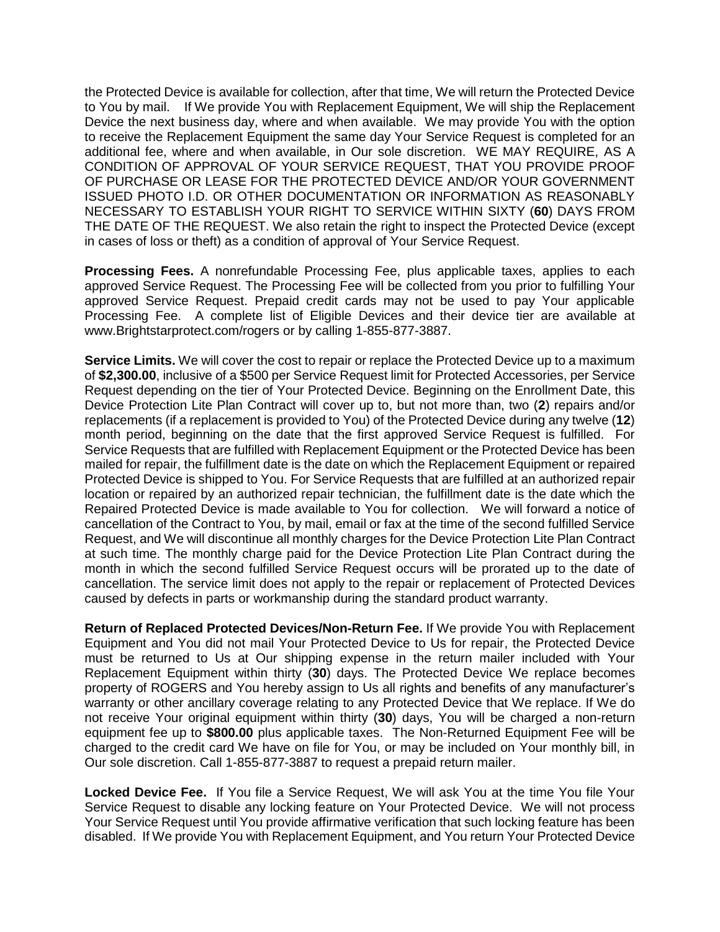the Protected Device is available for collection, after that time, We will return the Protected Device to You by mail. If We provide You with Replacement Equipment, We will ship the Replacement Device the next business day, where and when available. We may provide You with the option to receive the Replacement Equipment the same day Your Service Request is completed for an additional fee, where and when available, in Our sole discretion. WE MAY REQUIRE, AS A CONDITION OF APPROVAL OF YOUR SERVICE REQUEST, THAT YOU PROVIDE PROOF OF PURCHASE OR LEASE FOR THE PROTECTED DEVICE AND/OR YOUR GOVERNMENT ISSUED PHOTO I.D. OR OTHER DOCUMENTATION OR INFORMATION AS REASONABLY NECESSARY TO ESTABLISH YOUR RIGHT TO SERVICE WITHIN SIXTY (**60**) DAYS FROM THE DATE OF THE REQUEST. We also retain the right to inspect the Protected Device (except in cases of loss or theft) as a condition of approval of Your Service Request.

**Processing Fees.** A nonrefundable Processing Fee, plus applicable taxes, applies to each approved Service Request. The Processing Fee will be collected from you prior to fulfilling Your approved Service Request. Prepaid credit cards may not be used to pay Your applicable Processing Fee. A complete list of Eligible Devices and their device tier are available at www.Brightstarprotect.com/rogers or by calling 1-855-877-3887.

**Service Limits.** We will cover the cost to repair or replace the Protected Device up to a maximum of **\$2,300.00**, inclusive of a \$500 per Service Request limit for Protected Accessories, per Service Request depending on the tier of Your Protected Device. Beginning on the Enrollment Date, this Device Protection Lite Plan Contract will cover up to, but not more than, two (**2**) repairs and/or replacements (if a replacement is provided to You) of the Protected Device during any twelve (**12**) month period, beginning on the date that the first approved Service Request is fulfilled. For Service Requests that are fulfilled with Replacement Equipment or the Protected Device has been mailed for repair, the fulfillment date is the date on which the Replacement Equipment or repaired Protected Device is shipped to You. For Service Requests that are fulfilled at an authorized repair location or repaired by an authorized repair technician, the fulfillment date is the date which the Repaired Protected Device is made available to You for collection. We will forward a notice of cancellation of the Contract to You, by mail, email or fax at the time of the second fulfilled Service Request, and We will discontinue all monthly charges for the Device Protection Lite Plan Contract at such time. The monthly charge paid for the Device Protection Lite Plan Contract during the month in which the second fulfilled Service Request occurs will be prorated up to the date of cancellation. The service limit does not apply to the repair or replacement of Protected Devices caused by defects in parts or workmanship during the standard product warranty.

**Return of Replaced Protected Devices/Non-Return Fee.** If We provide You with Replacement Equipment and You did not mail Your Protected Device to Us for repair, the Protected Device must be returned to Us at Our shipping expense in the return mailer included with Your Replacement Equipment within thirty (**30**) days. The Protected Device We replace becomes property of ROGERS and You hereby assign to Us all rights and benefits of any manufacturer's warranty or other ancillary coverage relating to any Protected Device that We replace. If We do not receive Your original equipment within thirty (**30**) days, You will be charged a non-return equipment fee up to **\$800.00** plus applicable taxes. The Non-Returned Equipment Fee will be charged to the credit card We have on file for You, or may be included on Your monthly bill, in Our sole discretion. Call 1-855-877-3887 to request a prepaid return mailer.

**Locked Device Fee.** If You file a Service Request, We will ask You at the time You file Your Service Request to disable any locking feature on Your Protected Device. We will not process Your Service Request until You provide affirmative verification that such locking feature has been disabled. If We provide You with Replacement Equipment, and You return Your Protected Device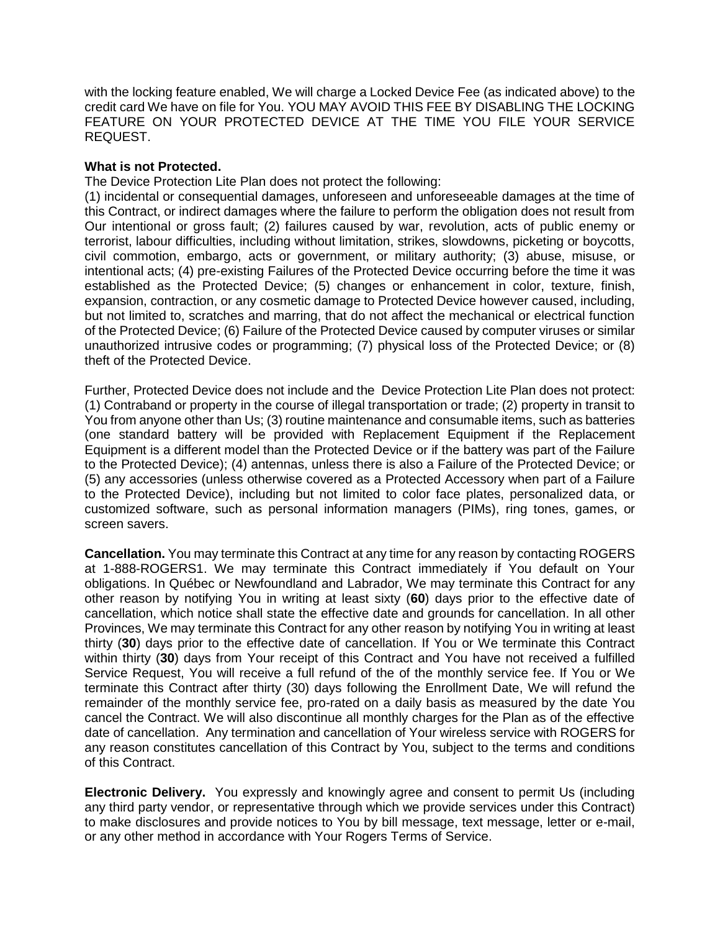with the locking feature enabled, We will charge a Locked Device Fee (as indicated above) to the credit card We have on file for You. YOU MAY AVOID THIS FEE BY DISABLING THE LOCKING FEATURE ON YOUR PROTECTED DEVICE AT THE TIME YOU FILE YOUR SERVICE REQUEST.

## **What is not Protected.**

The Device Protection Lite Plan does not protect the following:

(1) incidental or consequential damages, unforeseen and unforeseeable damages at the time of this Contract, or indirect damages where the failure to perform the obligation does not result from Our intentional or gross fault; (2) failures caused by war, revolution, acts of public enemy or terrorist, labour difficulties, including without limitation, strikes, slowdowns, picketing or boycotts, civil commotion, embargo, acts or government, or military authority; (3) abuse, misuse, or intentional acts; (4) pre-existing Failures of the Protected Device occurring before the time it was established as the Protected Device; (5) changes or enhancement in color, texture, finish, expansion, contraction, or any cosmetic damage to Protected Device however caused, including, but not limited to, scratches and marring, that do not affect the mechanical or electrical function of the Protected Device; (6) Failure of the Protected Device caused by computer viruses or similar unauthorized intrusive codes or programming; (7) physical loss of the Protected Device; or (8) theft of the Protected Device.

Further, Protected Device does not include and the Device Protection Lite Plan does not protect: (1) Contraband or property in the course of illegal transportation or trade; (2) property in transit to You from anyone other than Us; (3) routine maintenance and consumable items, such as batteries (one standard battery will be provided with Replacement Equipment if the Replacement Equipment is a different model than the Protected Device or if the battery was part of the Failure to the Protected Device); (4) antennas, unless there is also a Failure of the Protected Device; or (5) any accessories (unless otherwise covered as a Protected Accessory when part of a Failure to the Protected Device), including but not limited to color face plates, personalized data, or customized software, such as personal information managers (PIMs), ring tones, games, or screen savers.

**Cancellation.** You may terminate this Contract at any time for any reason by contacting ROGERS at 1-888-ROGERS1. We may terminate this Contract immediately if You default on Your obligations. In Québec or Newfoundland and Labrador, We may terminate this Contract for any other reason by notifying You in writing at least sixty (**60**) days prior to the effective date of cancellation, which notice shall state the effective date and grounds for cancellation. In all other Provinces, We may terminate this Contract for any other reason by notifying You in writing at least thirty (**30**) days prior to the effective date of cancellation. If You or We terminate this Contract within thirty (**30**) days from Your receipt of this Contract and You have not received a fulfilled Service Request, You will receive a full refund of the of the monthly service fee. If You or We terminate this Contract after thirty (30) days following the Enrollment Date, We will refund the remainder of the monthly service fee, pro-rated on a daily basis as measured by the date You cancel the Contract. We will also discontinue all monthly charges for the Plan as of the effective date of cancellation. Any termination and cancellation of Your wireless service with ROGERS for any reason constitutes cancellation of this Contract by You, subject to the terms and conditions of this Contract.

**Electronic Delivery.** You expressly and knowingly agree and consent to permit Us (including any third party vendor, or representative through which we provide services under this Contract) to make disclosures and provide notices to You by bill message, text message, letter or e-mail, or any other method in accordance with Your Rogers Terms of Service.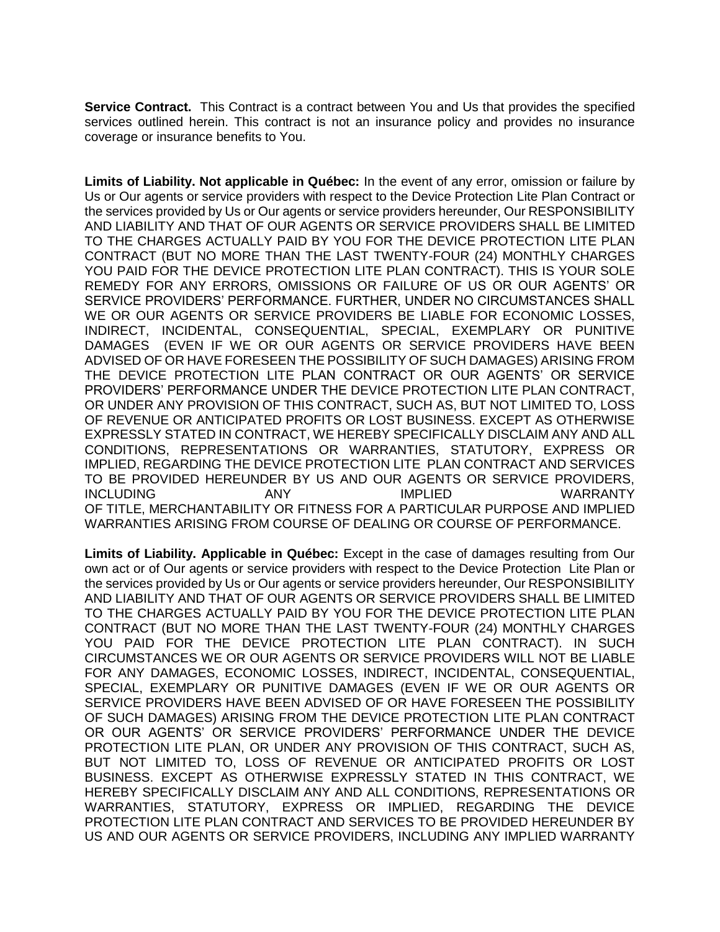**Service Contract.** This Contract is a contract between You and Us that provides the specified services outlined herein. This contract is not an insurance policy and provides no insurance coverage or insurance benefits to You.

**Limits of Liability. Not applicable in Québec:** In the event of any error, omission or failure by Us or Our agents or service providers with respect to the Device Protection Lite Plan Contract or the services provided by Us or Our agents or service providers hereunder, Our RESPONSIBILITY AND LIABILITY AND THAT OF OUR AGENTS OR SERVICE PROVIDERS SHALL BE LIMITED TO THE CHARGES ACTUALLY PAID BY YOU FOR THE DEVICE PROTECTION LITE PLAN CONTRACT (BUT NO MORE THAN THE LAST TWENTY-FOUR (24) MONTHLY CHARGES YOU PAID FOR THE DEVICE PROTECTION LITE PLAN CONTRACT). THIS IS YOUR SOLE REMEDY FOR ANY ERRORS, OMISSIONS OR FAILURE OF US OR OUR AGENTS' OR SERVICE PROVIDERS' PERFORMANCE. FURTHER, UNDER NO CIRCUMSTANCES SHALL WE OR OUR AGENTS OR SERVICE PROVIDERS BE LIABLE FOR ECONOMIC LOSSES, INDIRECT, INCIDENTAL, CONSEQUENTIAL, SPECIAL, EXEMPLARY OR PUNITIVE DAMAGES (EVEN IF WE OR OUR AGENTS OR SERVICE PROVIDERS HAVE BEEN ADVISED OF OR HAVE FORESEEN THE POSSIBILITY OF SUCH DAMAGES) ARISING FROM THE DEVICE PROTECTION LITE PLAN CONTRACT OR OUR AGENTS' OR SERVICE PROVIDERS' PERFORMANCE UNDER THE DEVICE PROTECTION LITE PLAN CONTRACT, OR UNDER ANY PROVISION OF THIS CONTRACT, SUCH AS, BUT NOT LIMITED TO, LOSS OF REVENUE OR ANTICIPATED PROFITS OR LOST BUSINESS. EXCEPT AS OTHERWISE EXPRESSLY STATED IN CONTRACT, WE HEREBY SPECIFICALLY DISCLAIM ANY AND ALL CONDITIONS, REPRESENTATIONS OR WARRANTIES, STATUTORY, EXPRESS OR IMPLIED, REGARDING THE DEVICE PROTECTION LITE PLAN CONTRACT AND SERVICES TO BE PROVIDED HEREUNDER BY US AND OUR AGENTS OR SERVICE PROVIDERS, INCLUDING ANY IMPLIED WARRANTY OF TITLE, MERCHANTABILITY OR FITNESS FOR A PARTICULAR PURPOSE AND IMPLIED WARRANTIES ARISING FROM COURSE OF DEALING OR COURSE OF PERFORMANCE.

**Limits of Liability. Applicable in Québec:** Except in the case of damages resulting from Our own act or of Our agents or service providers with respect to the Device Protection Lite Plan or the services provided by Us or Our agents or service providers hereunder, Our RESPONSIBILITY AND LIABILITY AND THAT OF OUR AGENTS OR SERVICE PROVIDERS SHALL BE LIMITED TO THE CHARGES ACTUALLY PAID BY YOU FOR THE DEVICE PROTECTION LITE PLAN CONTRACT (BUT NO MORE THAN THE LAST TWENTY-FOUR (24) MONTHLY CHARGES YOU PAID FOR THE DEVICE PROTECTION LITE PLAN CONTRACT). IN SUCH CIRCUMSTANCES WE OR OUR AGENTS OR SERVICE PROVIDERS WILL NOT BE LIABLE FOR ANY DAMAGES, ECONOMIC LOSSES, INDIRECT, INCIDENTAL, CONSEQUENTIAL, SPECIAL, EXEMPLARY OR PUNITIVE DAMAGES (EVEN IF WE OR OUR AGENTS OR SERVICE PROVIDERS HAVE BEEN ADVISED OF OR HAVE FORESEEN THE POSSIBILITY OF SUCH DAMAGES) ARISING FROM THE DEVICE PROTECTION LITE PLAN CONTRACT OR OUR AGENTS' OR SERVICE PROVIDERS' PERFORMANCE UNDER THE DEVICE PROTECTION LITE PLAN, OR UNDER ANY PROVISION OF THIS CONTRACT, SUCH AS, BUT NOT LIMITED TO, LOSS OF REVENUE OR ANTICIPATED PROFITS OR LOST BUSINESS. EXCEPT AS OTHERWISE EXPRESSLY STATED IN THIS CONTRACT, WE HEREBY SPECIFICALLY DISCLAIM ANY AND ALL CONDITIONS, REPRESENTATIONS OR WARRANTIES, STATUTORY, EXPRESS OR IMPLIED, REGARDING THE DEVICE PROTECTION LITE PLAN CONTRACT AND SERVICES TO BE PROVIDED HEREUNDER BY US AND OUR AGENTS OR SERVICE PROVIDERS, INCLUDING ANY IMPLIED WARRANTY